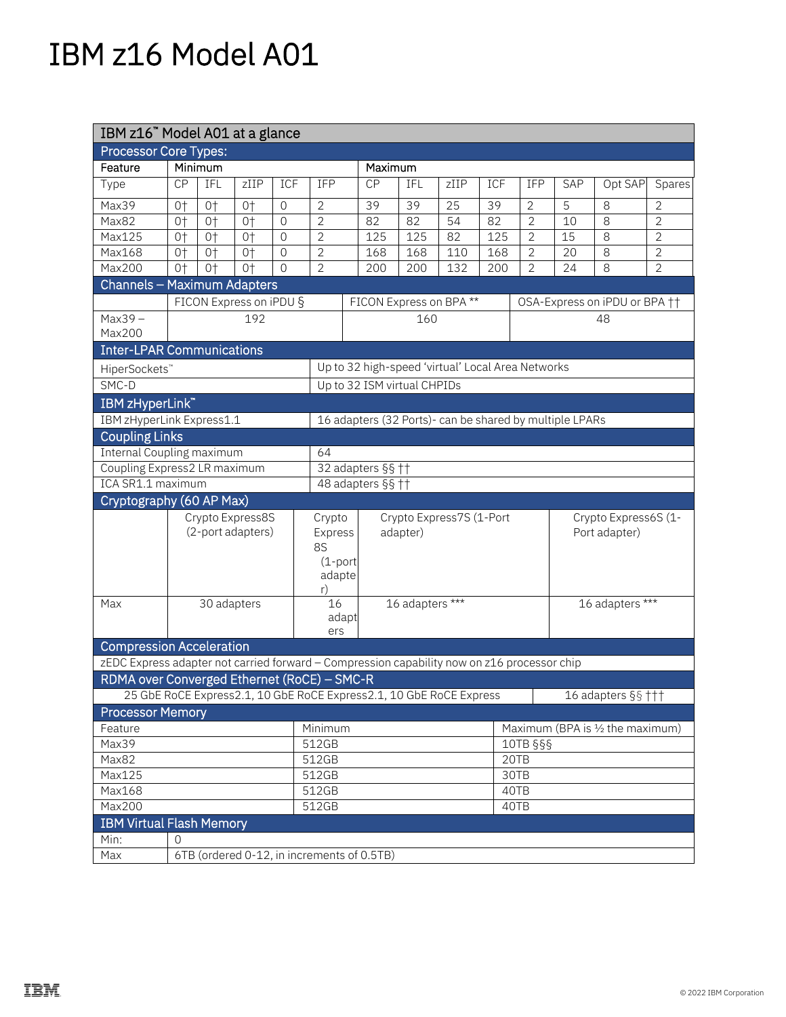## IBM z16 Model A01

| IBM z16" Model A01 at a glance                                                              |                                                   |         |      |                                                 |                                |                                                                       |     |      |                 |                |                               |                                  |                |  |  |
|---------------------------------------------------------------------------------------------|---------------------------------------------------|---------|------|-------------------------------------------------|--------------------------------|-----------------------------------------------------------------------|-----|------|-----------------|----------------|-------------------------------|----------------------------------|----------------|--|--|
| <b>Processor Core Types:</b>                                                                |                                                   |         |      |                                                 |                                |                                                                       |     |      |                 |                |                               |                                  |                |  |  |
| Feature                                                                                     |                                                   | Minimum |      |                                                 |                                | Maximum                                                               |     |      |                 |                |                               |                                  |                |  |  |
| Type                                                                                        | CP                                                | IFL     | ZIIP | ICF                                             | IFP                            | CP                                                                    | IFL | zIIP | ICF             | IFP            | SAP                           | Opt SAP                          | Spares         |  |  |
| Max39                                                                                       | $0+$                                              | $0+$    | $0+$ | $\overline{0}$                                  | $\overline{2}$                 | 39                                                                    | 39  | 25   | 39              | $\overline{2}$ | 5                             | 8                                | $\overline{2}$ |  |  |
| Max82                                                                                       | $0+$                                              | $0+$    | $0+$ | $\overline{0}$                                  | $\overline{2}$                 | 82                                                                    | 82  | 54   | 82              | $\overline{2}$ | 10                            | 8                                | $\overline{2}$ |  |  |
| Max125                                                                                      | $0+$                                              | $0+$    | $0+$ | $\overline{0}$                                  | $\overline{2}$                 | 125                                                                   | 125 | 82   | 125             | $\overline{2}$ | 15                            | 8                                | $\overline{2}$ |  |  |
| Max168                                                                                      | $0+$                                              | $0+$    | $0+$ | $\overline{0}$                                  | $\overline{2}$                 | 168                                                                   | 168 | 110  | 168             | $\overline{2}$ | 20                            | 8                                | $\mathbf{2}$   |  |  |
| Max200                                                                                      | $0+$                                              | $0+$    | $0+$ | $\Omega$                                        | $\overline{2}$                 | 200                                                                   | 200 | 132  | 200             | $\overline{2}$ | 24                            | 8                                | $\overline{2}$ |  |  |
| Channels - Maximum Adapters                                                                 |                                                   |         |      |                                                 |                                |                                                                       |     |      |                 |                |                               |                                  |                |  |  |
|                                                                                             | FICON Express on iPDU §                           |         |      |                                                 |                                | FICON Express on BPA**                                                |     |      |                 |                | OSA-Express on iPDU or BPA †† |                                  |                |  |  |
| $Max39 -$<br>Max200                                                                         | 192                                               |         |      |                                                 |                                | 160                                                                   |     |      |                 | 48             |                               |                                  |                |  |  |
| <b>Inter-LPAR Communications</b>                                                            |                                                   |         |      |                                                 |                                |                                                                       |     |      |                 |                |                               |                                  |                |  |  |
| HiperSockets"                                                                               | Up to 32 high-speed 'virtual' Local Area Networks |         |      |                                                 |                                |                                                                       |     |      |                 |                |                               |                                  |                |  |  |
| SMC-D                                                                                       | Up to 32 ISM virtual CHPIDs                       |         |      |                                                 |                                |                                                                       |     |      |                 |                |                               |                                  |                |  |  |
| IBM zHyperLink"                                                                             |                                                   |         |      |                                                 |                                |                                                                       |     |      |                 |                |                               |                                  |                |  |  |
| IBM zHyperLink Express1.1<br>16 adapters (32 Ports)- can be shared by multiple LPARs        |                                                   |         |      |                                                 |                                |                                                                       |     |      |                 |                |                               |                                  |                |  |  |
| <b>Coupling Links</b>                                                                       |                                                   |         |      |                                                 |                                |                                                                       |     |      |                 |                |                               |                                  |                |  |  |
| Internal Coupling maximum                                                                   |                                                   |         |      |                                                 | 64                             |                                                                       |     |      |                 |                |                               |                                  |                |  |  |
| Coupling Express2 LR maximum                                                                |                                                   |         |      |                                                 |                                | 32 adapters §§ ††                                                     |     |      |                 |                |                               |                                  |                |  |  |
| ICA SR1.1 maximum                                                                           |                                                   |         |      |                                                 |                                | 48 adapters §§ ††                                                     |     |      |                 |                |                               |                                  |                |  |  |
| Cryptography (60 AP Max)                                                                    |                                                   |         |      |                                                 |                                |                                                                       |     |      |                 |                |                               |                                  |                |  |  |
|                                                                                             |                                                   |         |      |                                                 | Crypto                         |                                                                       |     |      |                 |                |                               | Crypto Express6S (1-             |                |  |  |
|                                                                                             | Crypto Express8S<br>(2-port adapters)             |         |      | Crypto Express7S (1-Port<br>Express<br>adapter) |                                |                                                                       |     |      | Port adapter)   |                |                               |                                  |                |  |  |
|                                                                                             |                                                   |         |      | <b>8S</b>                                       |                                |                                                                       |     |      |                 |                |                               |                                  |                |  |  |
|                                                                                             |                                                   |         |      |                                                 | $(1$ -port                     |                                                                       |     |      |                 |                |                               |                                  |                |  |  |
|                                                                                             |                                                   |         |      |                                                 | adapte                         |                                                                       |     |      |                 |                |                               |                                  |                |  |  |
|                                                                                             |                                                   |         |      | r)                                              |                                |                                                                       |     |      | 16 adapters *** |                |                               |                                  |                |  |  |
| Max                                                                                         | 30 adapters                                       |         |      |                                                 | 16 adapters ***<br>16<br>adapt |                                                                       |     |      |                 |                |                               |                                  |                |  |  |
|                                                                                             |                                                   |         |      |                                                 | ers                            |                                                                       |     |      |                 |                |                               |                                  |                |  |  |
| <b>Compression Acceleration</b>                                                             |                                                   |         |      |                                                 |                                |                                                                       |     |      |                 |                |                               |                                  |                |  |  |
| zEDC Express adapter not carried forward - Compression capability now on z16 processor chip |                                                   |         |      |                                                 |                                |                                                                       |     |      |                 |                |                               |                                  |                |  |  |
| RDMA over Converged Ethernet (RoCE) - SMC-R                                                 |                                                   |         |      |                                                 |                                |                                                                       |     |      |                 |                |                               |                                  |                |  |  |
|                                                                                             |                                                   |         |      |                                                 |                                | 25 GbE RoCE Express 2.1, 10 GbE RoCE Express 2.1, 10 GbE RoCE Express |     |      |                 |                |                               | 16 adapters $\S$ s †††           |                |  |  |
| <b>Processor Memory</b>                                                                     |                                                   |         |      |                                                 |                                |                                                                       |     |      |                 |                |                               |                                  |                |  |  |
| Feature                                                                                     |                                                   |         |      |                                                 | Minimum                        |                                                                       |     |      |                 |                |                               | Maximum (BPA is 1/2 the maximum) |                |  |  |
| Max39                                                                                       |                                                   |         |      | 512GB                                           |                                |                                                                       |     |      | 10TB §§§        |                |                               |                                  |                |  |  |
| Max82                                                                                       |                                                   |         |      | 512GB                                           |                                |                                                                       |     |      | 20TB            |                |                               |                                  |                |  |  |
| Max125                                                                                      |                                                   |         |      | 512GB                                           |                                |                                                                       |     |      | 30TB            |                |                               |                                  |                |  |  |
| Max168                                                                                      |                                                   |         |      | 512GB                                           | 40TB                           |                                                                       |     |      |                 |                |                               |                                  |                |  |  |
| <b>Max200</b>                                                                               |                                                   |         |      | 512GB                                           | 40TB                           |                                                                       |     |      |                 |                |                               |                                  |                |  |  |
| <b>IBM Virtual Flash Memory</b>                                                             |                                                   |         |      |                                                 |                                |                                                                       |     |      |                 |                |                               |                                  |                |  |  |
| Min:                                                                                        | $\Omega$                                          |         |      |                                                 |                                |                                                                       |     |      |                 |                |                               |                                  |                |  |  |
| Max                                                                                         | 6TB (ordered 0-12, in increments of 0.5TB)        |         |      |                                                 |                                |                                                                       |     |      |                 |                |                               |                                  |                |  |  |